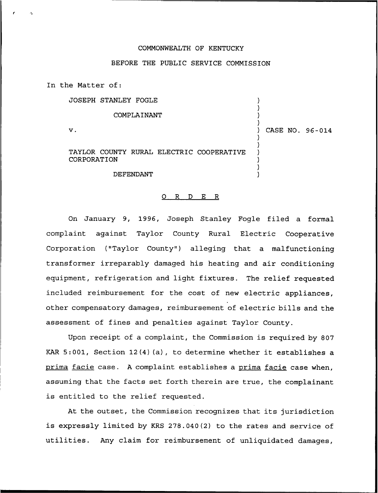## COMMONWEALTH OF KENTUCKY

## BEFORE THE PUBLIC SERVICE COMMISSION

In the Matter of:

JOSEPH STANLEY FOGLE

## COMPLAINANT

 $\mathbf v$ .

) CASE NO. 96-014

) ) ) )

) ) ) ) ) )

TAYLOR COUNTY RURAL ELECTRIC COOPERATIVE CORPORATION

DEFENDANT

## 0 R <sup>D</sup> E R

On January 9, 1996, Joseph Stanley Fogle filed a formal complaint against Taylor County Rural Electric Cooperative Corporation ("Taylor County") alleging that a malfunctioning transformer irreparably damaged his heating and air conditioning equipment, refrigeration and light fixtures. The relief requested included reimbursement for the cost of new electric appliances, other compensatory damages, reimbursement of electric bills and the assessment of fines and penalties against Taylor County.

Upon receipt of a complaint, the Commission is required by 807 KAR 5:001, Section 12(4)(a), to determine whether it establishes <sup>a</sup> prima facie case. A complaint establishes a prima facie case when, assuming that the facts set forth therein are true, the complainant is entitled to the relief requested.

At the outset, the Commission recognizes that its jurisdiction is expressly limited by KRS 278.040(2) to the rates and service of utilities. Any claim for reimbursement of unliquidated damages,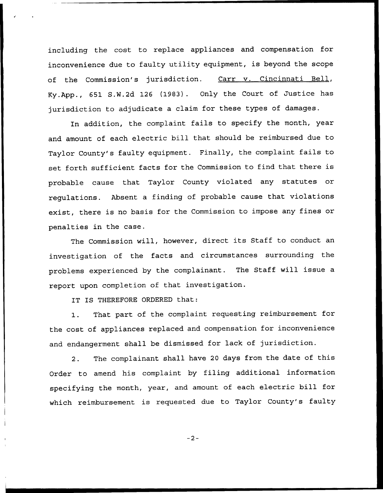including the cost to replace appliances and compensation for inconvenience due to faulty utility equipment, is beyond the scope of the Commission's jurisdiction. Carr v. Cincinnati Bell, Ky.App., 651 S.W.2d 126 (1983). Only the Court of Justice has jurisdiction to adjudicate a claim for these types of damages.

In addition, the complaint fails to specify the month, year and amount of each electric bill that should be reimbursed due to Taylor County's faulty equipment. Finally, the complaint fails to set forth sufficient facts for the Commission to find that there is probable cause that Taylor County violated any statutes or regulations. Absent a finding of probable cause that violations exist, there is no basis for the Commission to impose any fines or penalties in the case.

The Commission will, however, direct its Staff to conduct an investigation of the facts and circumstances surrounding the problems experienced by the complainant. The Staff will issue a report upon completion of that investigation.

IT IS THEREFORE ORDERED that:

1. That part of the complaint requesting reimbursement for the cost of appliances replaced and compensation for inconvenience and endangerment shall be dismissed for lack of jurisdiction.

2. The complainant shall have <sup>20</sup> days from the date of this Order to amend his complaint by filing additional information specifying the month, year, and amount of each electric bill for which reimbursement is requested due to Taylor County's faulty

 $-2-$